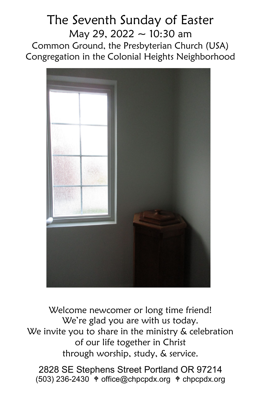# The Seventh Sunday of Easter May 29, 2022  $\sim$  10:30 am Common Ground, the Presbyterian Church (USA) Congregation in the Colonial Heights Neighborhood



Welcome newcomer or long time friend! We're glad you are with us today. We invite you to share in the ministry & celebration of our life together in Christ through worship, study, & service.

2828 SE Stephens Street Portland OR 97214  $(503)$  236-2430  $\text{\textdegree}$  office@chpcpdx.org  $\text{\textdegree}$  chpcpdx.org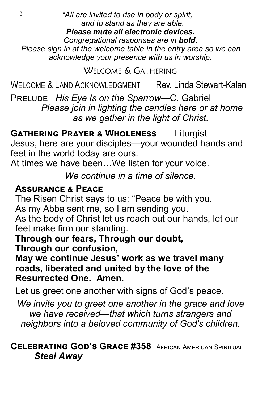2 *\*All are invited to rise in body or spirit, and to stand as they are able. Please mute all electronic devices. Congregational responses are in bold. Please sign in at the welcome table in the entry area so we can acknowledge your presence with us in worship.*

WELCOME & GATHERING

WELCOME & LAND ACKNOWLEDGMENT Rev. Linda Stewart-Kalen

Prelude *His Eye Is on the Sparrow—*C. Gabriel  *Please join in lighting the candles here or at home as we gather in the light of Christ.*

**Gathering Prayer & Wholeness** Liturgist Jesus, here are your disciples—your wounded hands and feet in the world today are ours.

At times we have been…We listen for your voice.

*We continue in a time of silence.*

## **Assurance & Peace**

The Risen Christ says to us: "Peace be with you.

As my Abba sent me, so I am sending you.

As the body of Christ let us reach out our hands, let our feet make firm our standing.

**Through our fears, Through our doubt, Through our confusion,**

**May we continue Jesus' work as we travel many roads, liberated and united by the love of the Resurrected One. Amen.**

Let us greet one another with signs of God's peace.

*We invite you to greet one another in the grace and love we have received—that which turns strangers and neighbors into a beloved community of God's children.*

## **Celebrating God's Grace #358** African American Spiritual *Steal Away*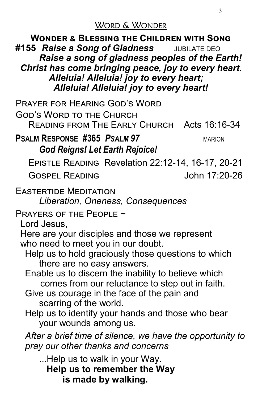WORD & WONDER

**Wonder & Blessing the Children with Song #155** *Raise a Song of Gladness* JUBILATE DEO *Raise a song of gladness peoples of the Earth! Christ has come bringing peace, joy to every heart. Alleluia! Alleluia! joy to every heart; Alleluia! Alleluia! joy to every heart!*

Prayer for Hearing God's Word God's Word to the Church Reading from The Early Church Acts 16:16-34 **PSALM RESPONSE #365** *PSALM 97* MARION *God Reigns! Let Earth Rejoice!*  Epistle Reading Revelation 22:12-14, 16-17, 20-21 Gospel Reading John 17:20-26 Eastertide Meditation *Liberation, Oneness, Consequences*  Prayers of the People ~ Lord Jesus, Here are your disciples and those we represent who need to meet you in our doubt. Help us to hold graciously those questions to which there are no easy answers. Enable us to discern the inability to believe which comes from our reluctance to step out in faith. Give us courage in the face of the pain and scarring of the world. Help us to identify your hands and those who bear your wounds among us. *After a brief time of silence, we have the opportunity to pray our other thanks and concerns* ...Help us to walk in your Way.  **Help us to remember the Way** 

**is made by walking.**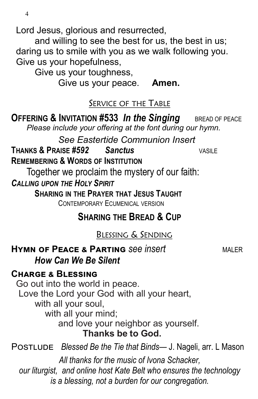Lord Jesus, glorious and resurrected,

and willing to see the best for us, the best in us; daring us to smile with you as we walk following you. Give us your hopefulness,

Give us your toughness,

Give us your peace. **Amen.**

### SERVICE OF THE TABLE

**OFFERING & INVITATION #533 In the Singing** BREAD OF PEACE  *Please include your offering at the font during our hymn.*

*See Eastertide Communion Insert*  **THANKS & PRAISE** *#592 Sanctus* VASILE **REMEMBERING & WORDS OF INSTITUTION**

Together we proclaim the mystery of our faith:

*CALLING UPON THE HOLY SPIRIT*

**SHARING IN THE PRAYER THAT JESUS TAUGHT**  CONTEMPORARY ECUMENICAL VERSION

**SHARING THE BREAD & CUP**

BLESSING & SENDING

## **HYMN OF PEACE & PARTING** *See insert* MALER *How Can We Be Silent*

### **Charge & Blessing**

Go out into the world in peace. Love the Lord your God with all your heart, with all your soul, with all your mind; and love your neighbor as yourself. **Thanks be to God.** Postlude *Blessed Be the Tie that Binds*— J. Nageli, arr. L Mason *All thanks for the music of Ivona Schacker,*

*our liturgist, and online host Kate Belt who ensures the technology is a blessing, not a burden for our congregation.*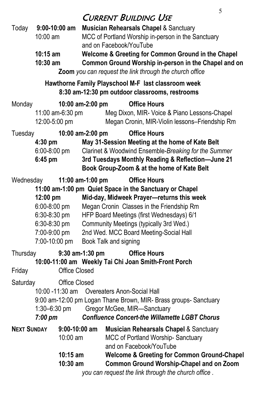## **CURRENT BUILDING USE**

| Today                                                                                                                                                                                                                                                                    | $9:00 - 10:00$ am<br>10:00 am<br>$10:15$ am<br>10:30 am                                       |                  | <b>Musician Rehearsals Chapel &amp; Sanctuary</b><br>MCC of Portland Worship in-person in the Sanctuary<br>and on Facebook/YouTube<br>Welcome & Greeting for Common Ground in the Chapel<br>Common Ground Worship in-person in the Chapel and on<br>Zoom you can request the link through the church office                         |
|--------------------------------------------------------------------------------------------------------------------------------------------------------------------------------------------------------------------------------------------------------------------------|-----------------------------------------------------------------------------------------------|------------------|-------------------------------------------------------------------------------------------------------------------------------------------------------------------------------------------------------------------------------------------------------------------------------------------------------------------------------------|
| Hawthorne Family Playschool M-F last classroom week<br>8:30 am-12:30 pm outdoor classrooms, restrooms                                                                                                                                                                    |                                                                                               |                  |                                                                                                                                                                                                                                                                                                                                     |
| Monday                                                                                                                                                                                                                                                                   | 10:00 am-2:00 pm<br>11:00 am-6:30 pm<br>12:00-5:00 pm                                         |                  | <b>Office Hours</b><br>Meg Dixon, MIR- Voice & Piano Lessons-Chapel<br>Megan Cronin, MIR-Violin lessons-Friendship Rm                                                                                                                                                                                                               |
| Tuesday<br>10:00 am-2:00 pm<br>$4:30$ pm<br>$6:00 - 8:00$ pm<br>$6:45$ pm                                                                                                                                                                                                |                                                                                               |                  | <b>Office Hours</b><br>May 31-Session Meeting at the home of Kate Belt<br>Clarinet & Woodwind Ensemble-Breaking for the Summer<br>3rd Tuesdays Monthly Reading & Reflection-June 21<br>Book Group-Zoom & at the home of Kate Belt                                                                                                   |
| Wednesday                                                                                                                                                                                                                                                                | 12:00 pm<br>6:00-8:00 pm<br>$6:30-8:30$ pm<br>$6:30-8:30$ pm<br>7:00-9:00 pm<br>7:00-10:00 pm | 11:00 am-1:00 pm | <b>Office Hours</b><br>11:00 am-1:00 pm Quiet Space in the Sanctuary or Chapel<br>Mid-day, Midweek Prayer-returns this week<br>Megan Cronin Classes in the Friendship Rm<br>HFP Board Meetings (first Wednesdays) 6/1<br>Community Meetings (typically 3rd Wed.)<br>2nd Wed. MCC Board Meeting-Social Hall<br>Book Talk and signing |
| 9:30 am-1:30 pm<br><b>Office Hours</b><br>Thursday<br>10:00-11:00 am Weekly Tai Chi Joan Smith-Front Porch<br><b>Office Closed</b><br>Friday                                                                                                                             |                                                                                               |                  |                                                                                                                                                                                                                                                                                                                                     |
| Saturday<br><b>Office Closed</b><br>10:00 -11:30 am<br>Overeaters Anon-Social Hall<br>9:00 am-12:00 pm Logan Thane Brown, MIR- Brass groups- Sanctuary<br>1:30–6:30 pm<br>Gregor McGee, MIR-Sanctuary<br><b>Confluence Concert-the Willamette LGBT Chorus</b><br>7:00 pm |                                                                                               |                  |                                                                                                                                                                                                                                                                                                                                     |
| <b>NEXT SUNDAY</b>                                                                                                                                                                                                                                                       | 10:00 am<br>$10:15$ am<br>10:30 am                                                            | $9:00-10:00$ am  | <b>Musician Rehearsals Chapel &amp; Sanctuary</b><br><b>MCC of Portland Worship-Sanctuary</b><br>and on Facebook/YouTube<br><b>Welcome &amp; Greeting for Common Ground-Chapel</b><br><b>Common Ground Worship-Chapel and on Zoom</b><br>you can request the link through the church office.                                        |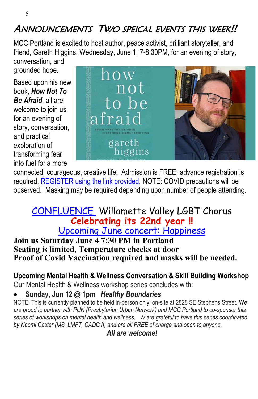# ANNOUNCEMENTS TWO SPEICAL EVENTS THIS WEEK!!

MCC Portland is excited to host author, peace activist, brilliant storyteller, and friend, Gareth Higgins, Wednesday, June 1, 7-8:30PM, for an evening of story,

conversation, and grounded hope.

Based upon his new book, *How Not To Be Afraid*, all are welcome to join us for an evening of story, conversation, and practical exploration of transforming fear into fuel for a more



connected, courageous, creative life. Admission is FREE; advance registration is required. [REGISTER using the link provided.](https://www.facebook.com/events/762854304875401/?ref=newsfeed&__cft__%5b0%5d=AZUJ67tXP_37fK8W455WdXCf6xINIAVXScLE8v0nGfec4rj4Bxd8sXHY6AMNoSlN77sHHT8eIL4TOx1nLKmoiGn8ZeRBFg3NhKnONCV74eKESo2RqIxTn6IePb8V_yfR4XpqqCHtlNrCVqXkO_Za0xxG&__tn__=H-R) NOTE: COVID precautions will be observed. Masking may be required depending upon number of people attending.

### [CONFLUENCE](https://www.confluencelgbtchorus.org) Willamette Valley LGBT Chorus **Celebrating its 22nd year !!** [Upcoming June concert: Happiness](https://www.confluencelgbtchorus.org/events)

#### **Join us Saturday June 4 7:30 PM in Portland Seating is limited**, **Temperature checks at door Proof of Covid Vaccination required and masks will be needed.**

## **Upcoming Mental Health & Wellness Conversation & Skill Building Workshop**

Our Mental Health & Wellness workshop series concludes with:

### • **Sunday, Jun 12 @ 1pm** *Healthy Boundaries*

NOTE: This is currently planned to be held in-person only, on-site at 2828 SE Stephens Street. W*e are proud to partner with PUN (Presbyterian Urban Network) and MCC Portland to co-sponsor this series of workshops on mental health and wellness. W are grateful to have this series coordinated by Naomi Caster (MS, LMFT, CADC II) and are all FREE of charge and open to anyone.*

#### *All are welcome!*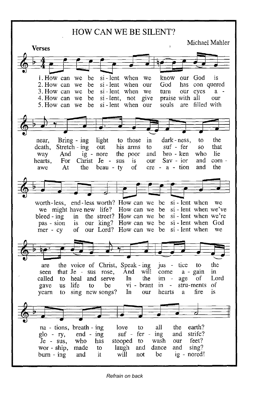**HOW CAN WE BE SILENT?** 

Michael Mahler